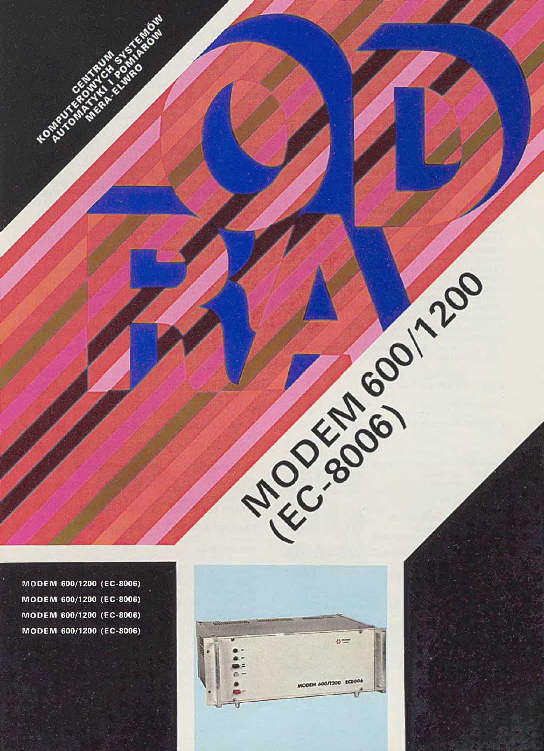**MODEM 600/1200 (EC-8006) M ODEM 600/1200 (EC-8006) M ODEM 600/1200 (EC-8006) MODEM 600/1200 (EC-8006)**

**HOMPUT** 

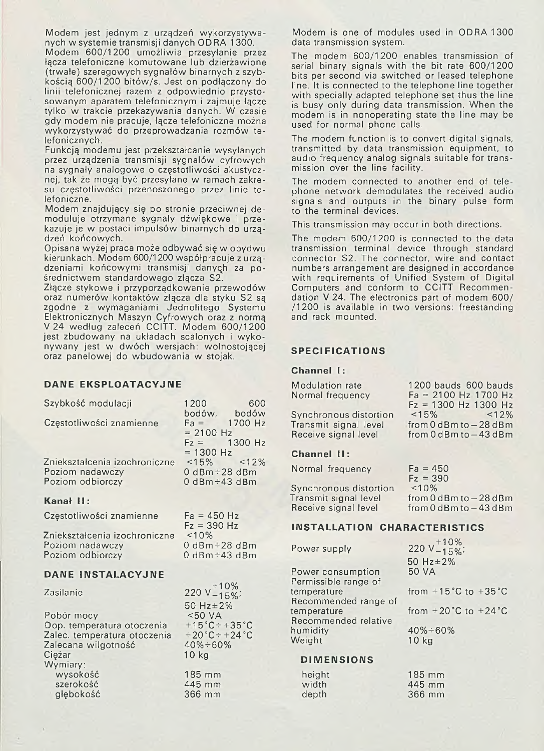Modem jest jednym z urządzeń wykorzystywanych w systemie transmisji danych OD RA 1 300.

Modem 600/1200 umożliwia przesyłanie przez łącza telefoniczne komutowane lub dzierżawione (trwałe) szeregowych sygnałów binarnych z szybkością 600/1200 bitów/s. Jest on podłączony do linii telefonicznej razem z odpowiednio przystosowanym aparatem telefonicznym i zajmuje łącze tylko w trakcie przekazywania danych. W czasie gdy modem nie pracuje, łącze telefoniczne można wykorzystywać do przeprowadzania rozmów telefonicznych.

Funkcją modemu jest przekształcanie wysyłanych przez urządzenia transmisji sygnałów cyfrowych na sygnały analogowe o częstotliwości akustycznej, tak że mogą być przesyłane w ramach zakresu częstotliwości przenoszonego przez linie telefoniczne.

Modem znajdujący się po stronie przeciwnej demoduluje otrzymane sygnały dźwiękowe i przekazuje je w postaci impulsów binarnych do urządzeń końcowych.

Opisana wyżej praca może odbywać się w obydwu kierunkach. Modem 600/1200 współpracuje z urządzeniami końcowymi transmisji danych za pośrednictwem standardowego złącza S2.

Złącze stykowe i przyporządkowanie przewodów oraz numerów kontaktów złącza dla styku S2 są zgodne z wymaganiami Jednolitego Systemu Elektronicznych Maszyn Cyfrowych oraz z normą V 24 według zaleceń CCITT. Modem 600/1200 jest zbudowany na układach scalonych i wykonywany jest w dwóch wersjach: wolnostojącej oraz panelowej do wbudowania w stojak.

## **DANE EKSPLOATACYJNE**

szerokość głębokość

 $\mathbb{R}^2$ 

| Szybkość modulacji                                                                                                    | 1200<br>600                                                                                                                    |
|-----------------------------------------------------------------------------------------------------------------------|--------------------------------------------------------------------------------------------------------------------------------|
| Częstotliwości znamienne                                                                                              | bodów, bodów<br>$Fa = 1700 Hz$<br>$= 2100 Hz$<br>$Fz = 1300 Hz$<br>$= 1300 Hz$                                                 |
| Zniekształcenia izochroniczne<br>Poziom nadawczy<br>Poziom odbiorczy                                                  | $<15\%$ $<12\%$<br>$0$ dBm $-28$ dBm<br>$0$ dBm $-43$ dBm                                                                      |
| Kanał II:                                                                                                             |                                                                                                                                |
| Częstotliwości znamienne                                                                                              | $Fa = 450 Hz$<br>$Fz = 390 Hz$                                                                                                 |
| Zniekształcenia izochroniczne<br>Poziom nadawczy<br>Poziom odbiorczy                                                  | $~10\%$<br>$0$ dBm $\div$ 28 dBm<br>$0$ dBm $-43$ dBm                                                                          |
| DANE INSTALACYJNE                                                                                                     |                                                                                                                                |
| Zasilanie                                                                                                             | 220 $V_{-15\%}^{+10\%}$<br>50 $Hz = 2%$                                                                                        |
| Pobór mocy<br>Dop. temperatura otoczenia<br>Zalec. temperatura otoczenia<br>Zalecana wilgotność<br>Ciężar<br>Wymiary: | $<$ 50 VA<br>$+15^{\circ}$ C $\div$ +35 $^{\circ}$ C<br>$+20^{\circ}$ C $\div$ +24 $^{\circ}$ C<br>$40\% \div 60\%$<br>$10$ kg |
| wysokość                                                                                                              | 185 mm                                                                                                                         |

445 mm 366 mm

Modem is one of modules used in ODRA 1300 data transmission system.

The modem 600/1200 enables transmission of serial binary signals with the bit rate 600/1200 bits per second via switched or leased telephone line. It is connected to the telephone line together with specially adapted telephone set thus the line is busy only during data transmission. When the modem is in nonoperating state the line may be used for normal phone calls.

The modem function is to convert digital signals, transmitted by data transmission equipment, to audio frequency analog signals suitable for transmission over the line facility.

The modem connected to another end of telephone network demodulates the received audio signals and outputs in the binary pulse form to the terminal devices.

This transmission may occur in both directions.

The modem 600/1200 is connected to the data transmission terminal device through standard connector S2. The connector, wire and contact numbers arrangement are designed in accordance with requirements of Unified System of Digital Computers and conform to CCITT Recommendation V 24. The electronics part of modem 600/  $/1200$  is available in two versions: freestanding and rack mounted.

### **SPECIFICATIONS**

### **Channel I :**

| Modulation rate<br>Normal frequency | 1200 bauds 600 bauds<br>$Fa = 2100 Hz 1700 Hz$<br>$Fz = 1300$ Hz 1300 Hz |
|-------------------------------------|--------------------------------------------------------------------------|
| Synchronous distortion              | $<15\%$ $<12\%$                                                          |
| Transmit signal level               | from $0$ dBm to $-28$ dBm                                                |
| Receive signal level                | from 0 dBm to -43 dBm                                                    |

## **Channel II:**

| Normal frequency       | $Fa = 450$                |
|------------------------|---------------------------|
|                        | $Fz = 390$                |
| Synchronous distortion | < 10%                     |
| Transmit signal level  | from $0$ dBm to $-28$ dBm |
| Receive signal level   | from $0$ dBm to $-43$ dBm |
|                        |                           |

### **INSTALLATION CHARACTERISTICS**

| Power supply         | 220 $V_{-15\%}^{+10\%}$                 |
|----------------------|-----------------------------------------|
|                      | 50 Hz ± 2%                              |
| Power consumption    | <b>50 VA</b>                            |
| Permissible range of |                                         |
| temperature          | from $+15^{\circ}$ C to $+35^{\circ}$ C |
| Recommended range of |                                         |
| temperature          | from $+20^{\circ}$ C to $+24^{\circ}$ C |
| Recommended relative |                                         |
| humidity             | $40\% \div 60\%$                        |
| Weight               | $10$ kg                                 |
|                      |                                         |
| <b>DIMENSIONS</b>    |                                         |

| height | $185 \text{ mm}$ |  |
|--------|------------------|--|
| width  | 445 mm           |  |
| depth  | 366 mm           |  |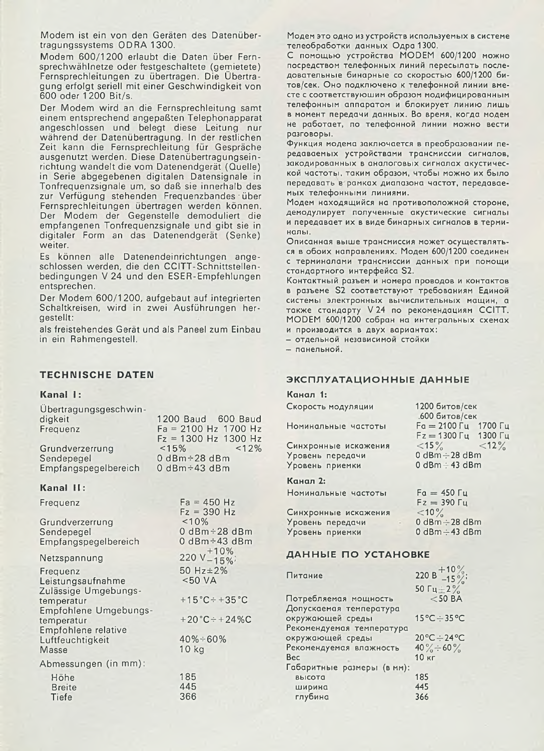Modem ist ein von den Geräten des Datenübertragungssystems ODRA 1300.

Modem 600/1200 erlaubt die Daten über Fernsprechwählnetze oder festgeschaltete (gemietete) Fernsprechleitungen zu übertragen. Die Übertragung erfolgt seriell mit einer Geschwindigkeit von 600 oder 1 200 Bit/s.

Der Modem wird an die Fernsprechleitung samt einem entsprechend angepaßten Telephonapparat angeschlossen und belegt diese Leitung nur während der Datenübertragung. In der restlichen Zeit kann die Fernsprechleitung für Gespräche ausgenutzt werden. Diese Datenübertragungseinrichtung wandelt die vom Datenendgerät (Quelle) in Serie abgegebenen digitalen Datensignale in Tonfrequenzsignale um, so daß sie innerhalb des zur Verfügung stehenden Frequenzbandes über Fernsprechleitungen übertragen werden können. Der Modem der Gegenstelle demoduliert die empfangenen Tonfrequenzsignale und gibt sie in digitaler Form an das Datenendgerät (Senke) weiter.

Es können alle Datenendeinrichtungen angeschlossen werden, die den CCITT-Schnittstellenbedingungen V 24 und den ESER-Empfehlungen entsprechen.

Der Modem 600/1200, aufgebaut auf integrierten Schaltkreisen, wird in zwei Ausführungen hergestellt:

als freistehendes Gerät und als Paneel zum Einbau in ein Rahmengestell.

# **TECHNISCHE DATEN**

Übertragungsgeschwin-

#### **Kanal I:**

| Opening gungsgeschwin- |                        |
|------------------------|------------------------|
| digkeit                | 1200 Baud 600 Baud     |
| Frequenz               | $Fa = 2100 Hz 1700 Hz$ |
|                        | $Fz = 1300$ Hz 1300 Hz |
| Grundverzerrung        | $< 15\%$<br>< 12%      |
| Sendepegel             | $0 dBm \div 28 dBm$    |
| Empfangspegelbereich   | 0 dBm $\div$ 43 dBm    |
|                        |                        |

#### **Kanal II:**

| Frequenz                                              | $Fa = 450 Hz$<br>$Fz = 390 Hz$                          |
|-------------------------------------------------------|---------------------------------------------------------|
| Grundverzerrung<br>Sendepegel<br>Empfangspegelbereich | $~10\%$<br>$0$ dBm $\div$ 28 dBm<br>0 $dBm \div 43$ dBm |
| Netzspannung                                          | 220 v <sup>+10%</sup>                                   |
| Frequenz<br>Leistungsaufnahme<br>Zulässige Umgebungs- | 50 Hz ± 2%<br>< 50 VA                                   |
| temperatur<br>Empfohlene Umgebungs-                   | $+15^{\circ}$ C ÷ +35 $^{\circ}$ C                      |
| temperatur<br>Empfohlene relative                     | $+20$ °C ÷ +24 %C                                       |
| Luftfeuchtigkeit<br>Masse                             | $40\% \div 60\%$<br>10 <sub>kg</sub>                    |
| Abmessungen (in mm):                                  |                                                         |
| Höhe<br><b>Breite</b><br><b>Tiefe</b>                 | 185<br>445<br>366                                       |

Модем это одно из устройств используемых в системе телеобработки данных Одра 1300.

С помощью устройства MODEM 600/1200 можно посредством телефонных линий пересылать последовательные бинарные со скоростью 600/1200 битов/сек. Оно подключено к телефонной линии вместе с соответствуюшим образом модифицированным телефонным аппаратом и блокирует линию лишь в момент передачи данных. Во время, когда модем не работает, по телефонной линии можно вести разговоры.

Функция модема заключается в преобразовании передаваемых устройствами трансмиссии сигналов, закодированных в аналоговых сигналах акустической частоты, таким образом, чтобы можно их было передавать в рамках диапазона частот, передаваемых телефонными линиями.

Модем находящийся на противоположной стороне, демодулирует полученные акустические сигналы и передавает их в виде бинарных сигналов в терминалы.

Описанная выше трансмиссия может осуществляться в обоих направлениях. Модем 600/1200 соединен с терминалами трансмиссии данных при помощи стандартного интерфейса S2.

Контактный разъем и номера проводов и контактов в разъеме S2 соответствуют требованиям Единой системы электронных вычислительных мащин, а также стандарту V 24 по рекомендациям CCIII. MODEM 600/1200 собран на интегральных схемах M производится в двух вариантах:

- отдельной независимой стойки

- панельной.

## **ЭКСПЛУАТАЦИОННЫЕ ДАННЫЕ**

#### **Канал 1:**

| Скорость модуляции   |        | 1200 битов/сек<br>600 битов/сек           |  |
|----------------------|--------|-------------------------------------------|--|
| Номинальные частоты  |        | $Fa = 2100 \, \text{Fu}$ 1700 $\text{Fu}$ |  |
|                      |        | $Fz = 1300 \Gamma$ y 1300 $\Gamma$ y      |  |
| Синхронные искажения |        | $<15\%$ $<12\%$                           |  |
| Уровень передачи     |        | 0 dBm :- 28 dBm                           |  |
| Уровень приемки      |        | $0$ dBm $\div$ 43 dBm                     |  |
| Канал 2:             |        |                                           |  |
| Номинальные частоты  |        | $Fa = 450 \Gamma$                         |  |
|                      |        | $Fz = 390 \Gamma \mu$                     |  |
| Синхронные искажения |        | $<$ 10 $\%$                               |  |
| Уровень передачи     | $\sim$ | 0 dBm ÷ 28 dBm                            |  |
| Уровень приемки      |        | 0 dBm :- 43 dBm                           |  |

## ДАННЫЕ ПО УСТАНОВКЕ

| Питание                    | 220 B $+10\%$<br>-15%      |
|----------------------------|----------------------------|
|                            | 50 $\Gamma$ u $\pm$ 2%     |
| Потребляемая мощность      | $<$ 50 BA                  |
| Допускаемая температура    |                            |
| окружающей среды           | 15°C÷35°C                  |
| Рекомендуемая температура  |                            |
| окружающей среды           | $20^{\circ}$ C $\div$ 24°C |
| Рекомендуемая влажность    | 40% $\div$ 60%             |
| Bec                        | 10 кг                      |
| Габаритные размеры (в мм): |                            |
| высота                     | 185                        |
| ширина                     | 445                        |
| глубина                    | 366                        |